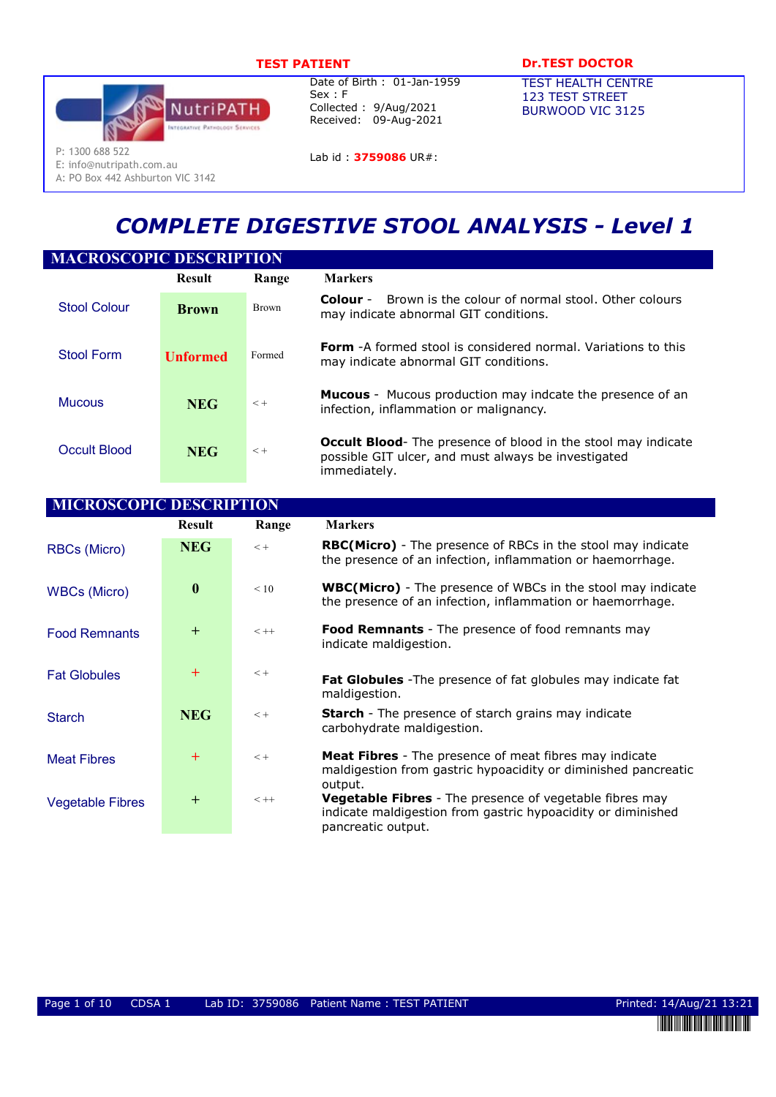

E: info@nutripath.com.au A: PO Box 442 Ashburton VIC 3142

Date of Birth : 01-Jan-1959 Sex : F Collected : 9/Aug/2021 Received: 09-Aug-2021

Lab id: 3759086 UR#:

# TEST PATIENT DESCRIPTION DESCRIPTION OF THE DOCTOR

TEST HEALTH CENTRE 123 TEST STREET BURWOOD VIC 3125

COMPLETE DIGESTIVE STOOL ANALYSIS - Level 1

| <b>MACROSCOPIC DESCRIPTION</b> |                 |              |                                                                                                                                             |  |
|--------------------------------|-----------------|--------------|---------------------------------------------------------------------------------------------------------------------------------------------|--|
|                                | <b>Result</b>   | Range        | <b>Markers</b>                                                                                                                              |  |
| <b>Stool Colour</b>            | <b>Brown</b>    | <b>Brown</b> | Brown is the colour of normal stool. Other colours<br>Colour -<br>may indicate abnormal GIT conditions.                                     |  |
| Stool Form                     | <b>Unformed</b> | Formed       | <b>Form</b> -A formed stool is considered normal. Variations to this<br>may indicate abnormal GIT conditions.                               |  |
| <b>Mucous</b>                  | <b>NEG</b>      | $< +$        | <b>Mucous</b> - Mucous production may indcate the presence of an<br>infection, inflammation or malignancy.                                  |  |
| Occult Blood                   | <b>NEG</b>      | $< +$        | <b>Occult Blood-</b> The presence of blood in the stool may indicate<br>possible GIT ulcer, and must always be investigated<br>immediately. |  |

| <b>MICROSCOPIC DESCRIPTION</b> |                  |         |                                                                                                                                                      |  |  |  |  |
|--------------------------------|------------------|---------|------------------------------------------------------------------------------------------------------------------------------------------------------|--|--|--|--|
|                                | <b>Result</b>    | Range   | <b>Markers</b>                                                                                                                                       |  |  |  |  |
| RBCs (Micro)                   | <b>NEG</b>       | $< +$   | <b>RBC(Micro)</b> - The presence of RBCs in the stool may indicate<br>the presence of an infection, inflammation or haemorrhage.                     |  |  |  |  |
| <b>WBCs (Micro)</b>            | $\boldsymbol{0}$ | < 10    | <b>WBC(Micro)</b> - The presence of WBCs in the stool may indicate<br>the presence of an infection, inflammation or haemorrhage.                     |  |  |  |  |
| <b>Food Remnants</b>           | $+$              | $< + +$ | <b>Food Remnants</b> - The presence of food remnants may<br>indicate maldigestion.                                                                   |  |  |  |  |
| <b>Fat Globules</b>            | $+$              | $< +$   | Fat Globules - The presence of fat globules may indicate fat<br>maldigestion.                                                                        |  |  |  |  |
| <b>Starch</b>                  | <b>NEG</b>       | $< +$   | <b>Starch</b> - The presence of starch grains may indicate<br>carbohydrate maldigestion.                                                             |  |  |  |  |
| <b>Meat Fibres</b>             | $^{+}$           | $< +$   | Meat Fibres - The presence of meat fibres may indicate<br>maldigestion from gastric hypoacidity or diminished pancreatic<br>output.                  |  |  |  |  |
| <b>Vegetable Fibres</b>        | $\pm$            | $< + +$ | <b>Vegetable Fibres</b> - The presence of vegetable fibres may<br>indicate maldigestion from gastric hypoacidity or diminished<br>pancreatic output. |  |  |  |  |

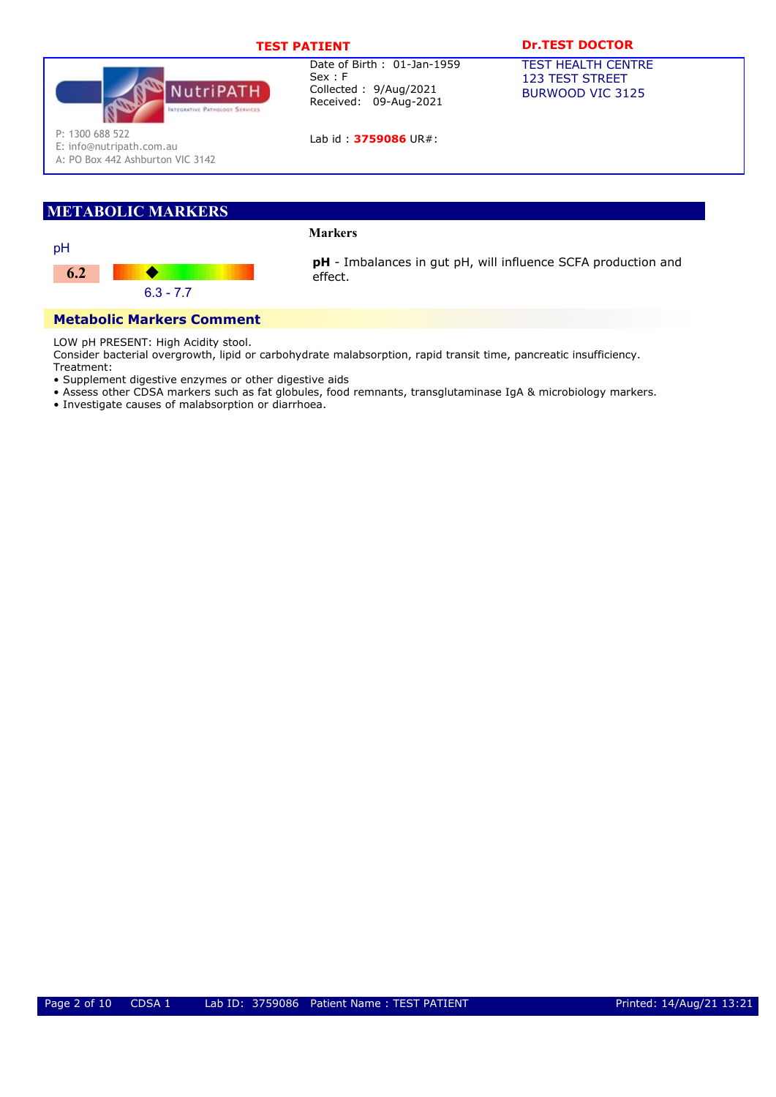

Lab id: 3759086 UR#:

# TEST PATIENT **DR.TEST DOCTOR**

TEST HEALTH CENTRE 123 TEST STREET BURWOOD VIC 3125

P: 1300 688 522

E: info@nutripath.com.au A: PO Box 442 Ashburton VIC 3142

# METABOLIC MARKERS

# Markers



pH - Imbalances in gut pH, will influence SCFA production and effect.

# Metabolic Markers Comment

LOW pH PRESENT: High Acidity stool.

Consider bacterial overgrowth, lipid or carbohydrate malabsorption, rapid transit time, pancreatic insufficiency.

- Treatment: • Supplement digestive enzymes or other digestive aids
- Assess other CDSA markers such as fat globules, food remnants, transglutaminase IgA & microbiology markers.
- Investigate causes of malabsorption or diarrhoea.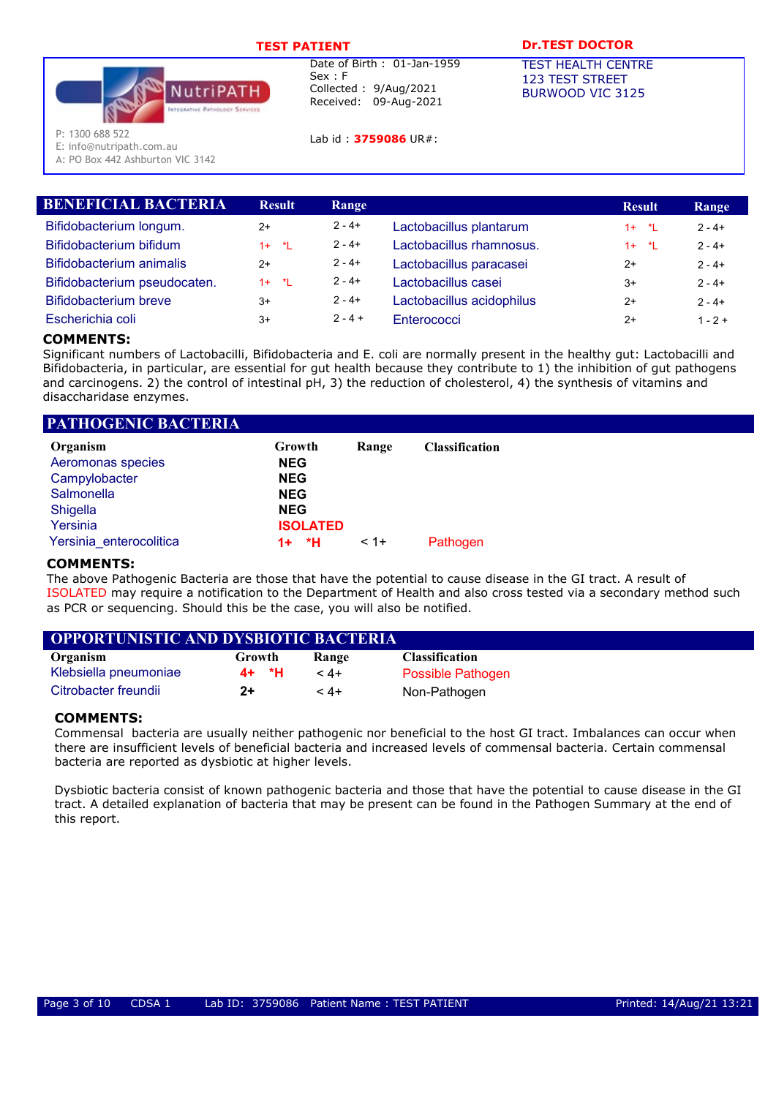

Lab id : 3759086 UR#:

# TEST PATIENT **DESAULT DREST DOCTOR**

TEST HEALTH CENTRE 123 TEST STREET BURWOOD VIC 3125

P: 1300 688 522

E: info@nutripath.com.au

A: PO Box 442 Ashburton VIC 3142

|          |               |                           | <b>Result</b> | Range     |
|----------|---------------|---------------------------|---------------|-----------|
| $2+$     | $2 - 4 +$     | Lactobacillus plantarum   | $1 + 1$       | $2 - 4 +$ |
| $1 + 1$  | $2 - 4 +$     | Lactobacillus rhamnosus.  | $1 + 1$       | $2 - 4 +$ |
| $2+$     | $2 - 4 +$     | Lactobacillus paracasei   | $2+$          | $2 - 4 +$ |
| $1 + *L$ | $2 - 4 +$     | Lactobacillus casei       | $3+$          | $2 - 4 +$ |
| $3+$     | $2 - 4 +$     | Lactobacillus acidophilus | $2+$          | $2 - 4 +$ |
| $3+$     | $2 - 4 +$     | Enterococci               | $2+$          | $1 - 2 +$ |
|          | <b>Result</b> | Range                     |               |           |

# COMMENTS:

Significant numbers of Lactobacilli, Bifidobacteria and E. coli are normally present in the healthy gut: Lactobacilli and Bifidobacteria, in particular, are essential for gut health because they contribute to 1) the inhibition of gut pathogens and carcinogens. 2) the control of intestinal pH, 3) the reduction of cholesterol, 4) the synthesis of vitamins and disaccharidase enzymes.

| <b>PATHOGENIC BACTERIA</b> |                 |        |                       |
|----------------------------|-----------------|--------|-----------------------|
| Organism                   | Growth          | Range  | <b>Classification</b> |
| Aeromonas species          | <b>NEG</b>      |        |                       |
| Campylobacter              | <b>NEG</b>      |        |                       |
| Salmonella                 | <b>NEG</b>      |        |                       |
| Shigella                   | <b>NEG</b>      |        |                       |
| Yersinia                   | <b>ISOLATED</b> |        |                       |
| Yersinia enterocolitica    | *H<br>$1+$      | $< 1+$ | Pathogen              |

# COMMENTS:

The above Pathogenic Bacteria are those that have the potential to cause disease in the GI tract. A result of ISOLATED may require a notification to the Department of Health and also cross tested via a secondary method such as PCR or sequencing. Should this be the case, you will also be notified.

| <b>OPPORTUNISTIC AND DYSBIOTIC BACTERIA</b> |        |              |                       |
|---------------------------------------------|--------|--------------|-----------------------|
| Organism                                    | Growth | <b>Range</b> | <b>Classification</b> |

| Klebsiella pneumoniae | 4+ *H |      | <b>Possible Pathogen</b> |
|-----------------------|-------|------|--------------------------|
| Citrobacter freundii  | $2+$  | $4+$ | Non-Pathogen             |

# COMMENTS:

Commensal bacteria are usually neither pathogenic nor beneficial to the host GI tract. Imbalances can occur when there are insufficient levels of beneficial bacteria and increased levels of commensal bacteria. Certain commensal bacteria are reported as dysbiotic at higher levels.

Dysbiotic bacteria consist of known pathogenic bacteria and those that have the potential to cause disease in the GI tract. A detailed explanation of bacteria that may be present can be found in the Pathogen Summary at the end of this report.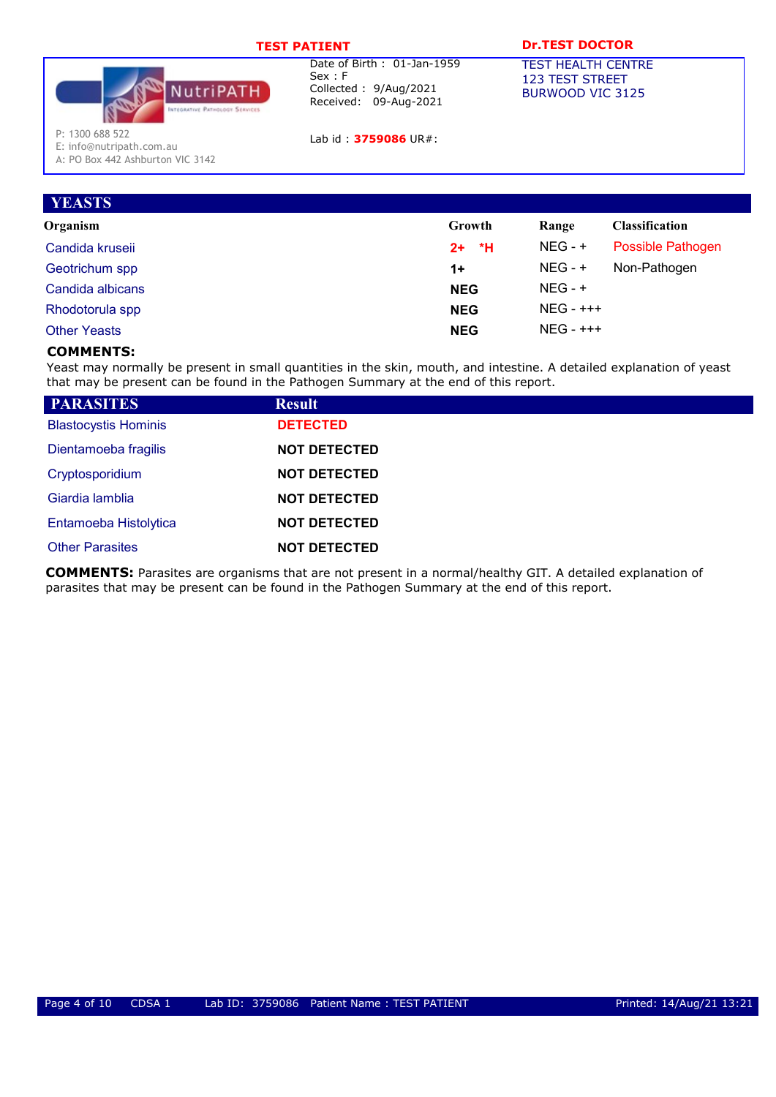

Lab id: 3759086 UR#:

# TEST PATIENT **DR.TEST DOCTOR**

TEST HEALTH CENTRE 123 TEST STREET BURWOOD VIC 3125

P: 1300 688 522

E: info@nutripath.com.au A: PO Box 442 Ashburton VIC 3142

| <b>YEASTS</b>       |            |              |                       |
|---------------------|------------|--------------|-----------------------|
| Organism            | Growth     | Range        | <b>Classification</b> |
| Candida kruseii     | *H<br>$2+$ | $NEG - +$    | Possible Pathogen     |
| Geotrichum spp      | $1+$       | $NEG - +$    | Non-Pathogen          |
| Candida albicans    | <b>NEG</b> | $NEG - +$    |                       |
| Rhodotorula spp     | <b>NEG</b> | $NEG - ++ +$ |                       |
| <b>Other Yeasts</b> | <b>NEG</b> | $NEG - ++ +$ |                       |

# COMMENTS:

Yeast may normally be present in small quantities in the skin, mouth, and intestine. A detailed explanation of yeast that may be present can be found in the Pathogen Summary at the end of this report.

| <b>PARASITES</b>            | <b>Result</b>       |
|-----------------------------|---------------------|
| <b>Blastocystis Hominis</b> | <b>DETECTED</b>     |
| Dientamoeba fragilis        | <b>NOT DETECTED</b> |
| Cryptosporidium             | <b>NOT DETECTED</b> |
| Giardia lamblia             | <b>NOT DETECTED</b> |
| Entamoeba Histolytica       | <b>NOT DETECTED</b> |
| <b>Other Parasites</b>      | <b>NOT DETECTED</b> |

COMMENTS: Parasites are organisms that are not present in a normal/healthy GIT. A detailed explanation of parasites that may be present can be found in the Pathogen Summary at the end of this report.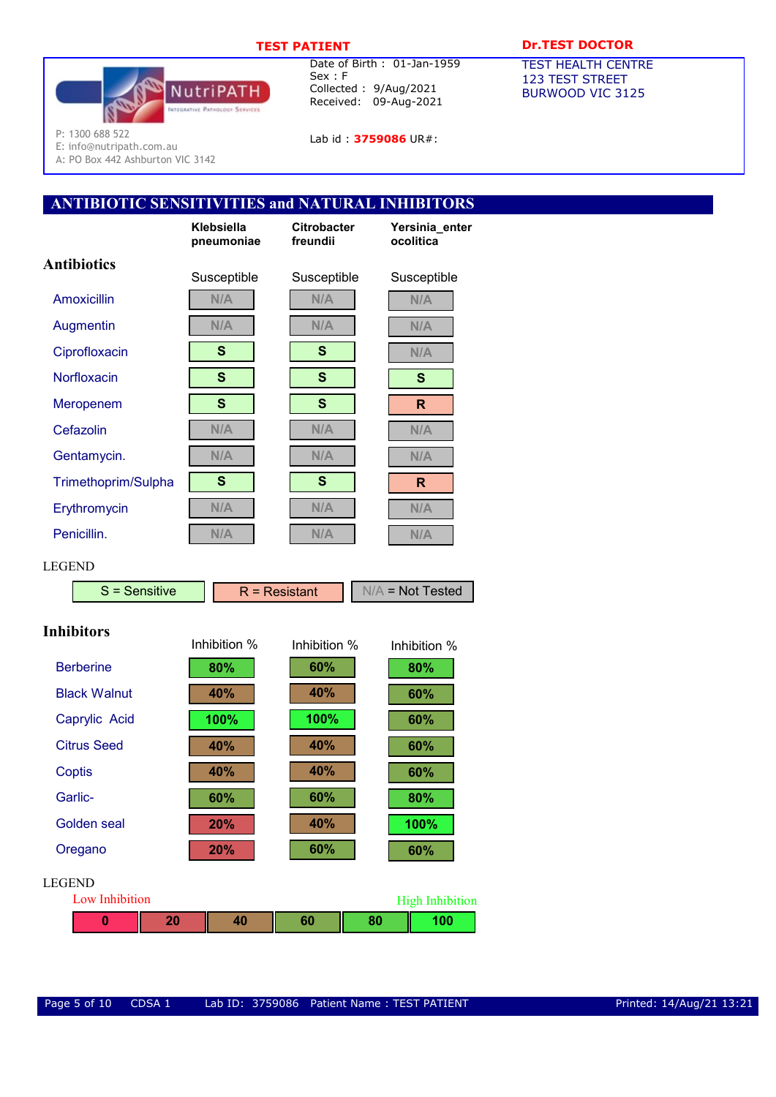

Lab id: 3759086 UR#:

# TEST PATIENT DESCRIPTION DESCRIPTION OF THE PATTENT OF THE PATTENT OF THE PATTENT OF THE PATTENT OF THE PATTENT

TEST HEALTH CENTRE 123 TEST STREET BURWOOD VIC 3125

P: 1300 688 522

E: info@nutripath.com.au A: PO Box 442 Ashburton VIC 3142

# ANTIBIOTIC SENSITIVITIES and NATURAL INHIBITORS

|                                 | Klebsiella<br>pneumoniae | <b>Citrobacter</b><br>freundii |    | Yersinia_enter<br>ocolitica   |
|---------------------------------|--------------------------|--------------------------------|----|-------------------------------|
| <b>Antibiotics</b>              | Susceptible              | Susceptible                    |    | Susceptible                   |
| <b>Amoxicillin</b>              | N/A                      | N/A                            |    | N/A                           |
| Augmentin                       | N/A                      | N/A                            |    | N/A                           |
| Ciprofloxacin                   | S                        | S                              |    | N/A                           |
| Norfloxacin                     | S                        | S                              |    | $\mathbf{s}$                  |
| Meropenem                       | S                        | $\mathbf{s}$                   |    | $\mathsf{R}$                  |
| Cefazolin                       | N/A                      | N/A                            |    | N/A                           |
| Gentamycin.                     | N/A                      | N/A                            |    | N/A                           |
| Trimethoprim/Sulpha             | $\mathbf{s}$             | $\mathbf{s}$                   |    | R                             |
| Erythromycin                    | N/A                      | N/A                            |    | N/A                           |
| Penicillin.                     | N/A                      | N/A                            |    | N/A                           |
| <b>LEGEND</b>                   |                          |                                |    |                               |
| $S =$ Sensitive                 |                          | $R =$ Resistant                |    | $N/A$ = Not Tested            |
| <b>Inhibitors</b>               | Inhibition %             | Inhibition %                   |    | Inhibition %                  |
| <b>Berberine</b>                | 80%                      | 60%                            |    | 80%                           |
| <b>Black Walnut</b>             | 40%                      | 40%                            |    | 60%                           |
| Caprylic Acid                   | 100%                     | 100%                           |    | 60%                           |
| <b>Citrus Seed</b>              | 40%                      | 40%                            |    | 60%                           |
| <b>Coptis</b>                   | 40%                      | 40%                            |    | 60%                           |
| Garlic-                         | 60%                      | 60%                            |    | 80%                           |
| <b>Golden</b> seal              | 20%                      | 40%                            |    | 100%                          |
| Oregano                         | 20%                      | 60%                            |    | 60%                           |
| <b>LEGEND</b><br>Low Inhibition |                          |                                |    |                               |
| 20<br>0                         | 40                       | 60                             | 80 | <b>High Inhibition</b><br>100 |
|                                 |                          |                                |    |                               |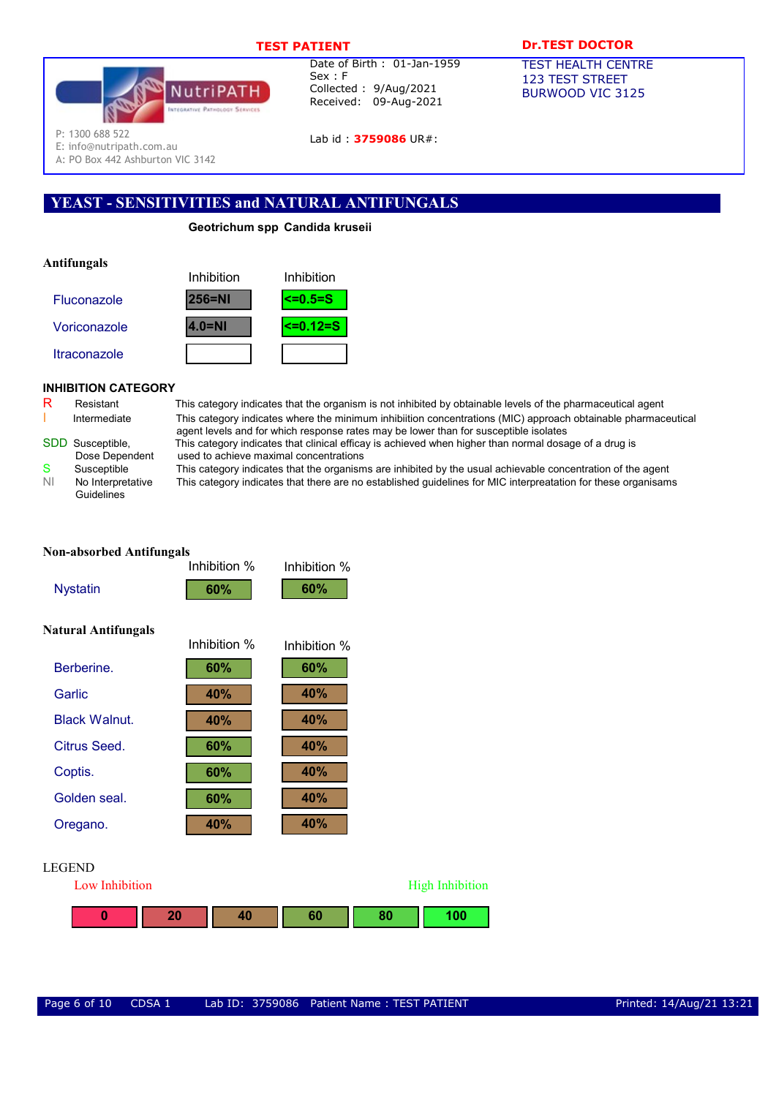

Lab id: 3759086 UR#:

# TEST PATIENT **DR.TEST DOCTOR**

TEST HEALTH CENTRE 123 TEST STREET BURWOOD VIC 3125

P: 1300 688 522

E: info@nutripath.com.au

A: PO Box 442 Ashburton VIC 3142

# YEAST - SENSITIVITIES and NATURAL ANTIFUNGALS

# Geotrichum spp Candida kruseii

# Antifungals



# INHIBITION CATEGORY

| R | Resistant    |
|---|--------------|
|   | Intormodiato |

Guidelines

This category indicates that the organism is not inhibited by obtainable levels of the pharmaceutical agent Intermediate This category indicates where the minimum inhibiition concentrations (MIC) approach obtainable pharmaceutical agent levels and for which response rates may be lower than for susceptible isolates SDD Susceptible, This category indicates that clinical efficay is achieved when higher than normal dosage of a drug is

**High Inhibition** 

Dose Dependent used to achieve maximal concentrations<br>Susceptible This category indicates that the organism S Susceptible This category indicates that the organisms are inhibited by the usual achievable concentration of the agent

NI No Interpretative This category indicates that there are no established guidelines for MIC interpreatation for these organisams

|                            | <b>Non-absorbed Antifungals</b> |              |  |  |  |  |
|----------------------------|---------------------------------|--------------|--|--|--|--|
|                            | Inhibition %                    | Inhibition % |  |  |  |  |
| <b>Nystatin</b>            | 60%                             | 60%          |  |  |  |  |
| <b>Natural Antifungals</b> |                                 |              |  |  |  |  |
|                            | Inhibition %                    | Inhibition % |  |  |  |  |
| Berberine.                 | 60%                             | 60%          |  |  |  |  |
| Garlic                     | 40%                             | 40%          |  |  |  |  |
| <b>Black Walnut.</b>       | 40%                             | <b>40%</b>   |  |  |  |  |
| Citrus Seed.               | 60%                             | <b>40%</b>   |  |  |  |  |
| Coptis.                    | 60%                             | <b>40%</b>   |  |  |  |  |
| Golden seal.               | 60%                             | 40%          |  |  |  |  |
| Oregano.                   | <b>40%</b>                      | <b>40%</b>   |  |  |  |  |
|                            |                                 |              |  |  |  |  |
| <b>LEGEND</b>              |                                 |              |  |  |  |  |
| Low Inhibition             |                                 |              |  |  |  |  |

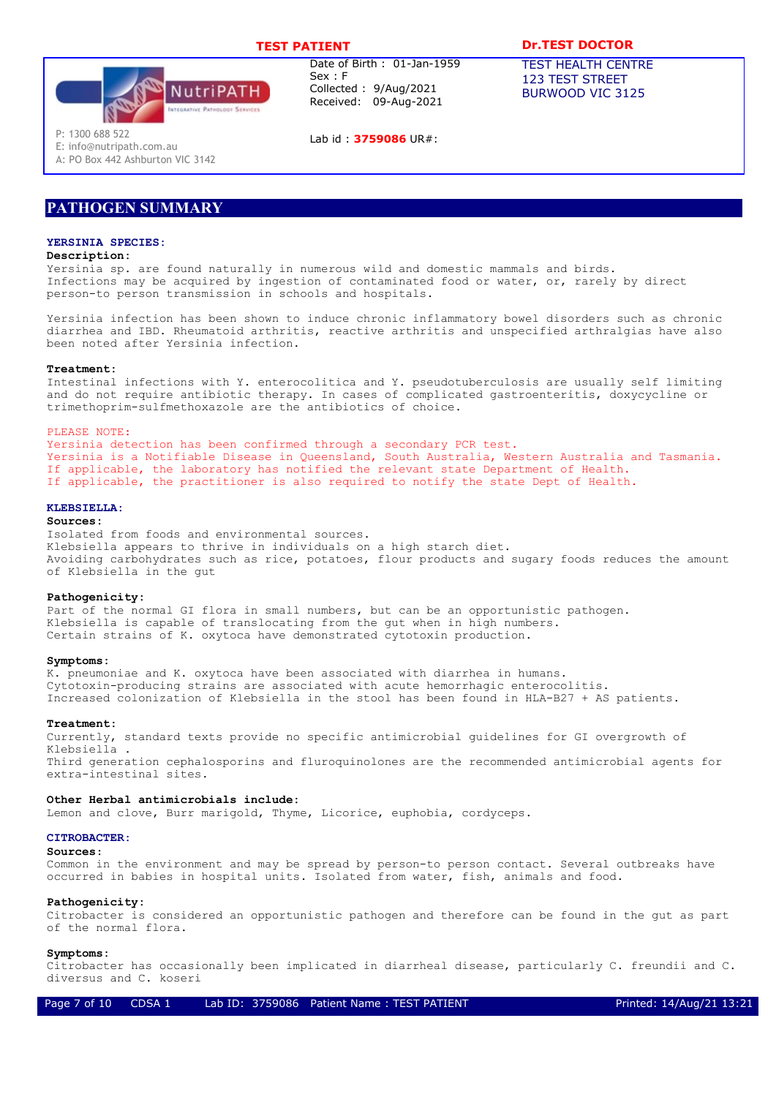# TEST PATIENT **DR.TEST DOCTOR**



Date of Birth : 01-Jan-1959 Sex : F Collected : 9/Aug/2021 Received: 09-Aug-2021

Lab id : 3759086 UR#:

TEST HEALTH CENTRE

123 TEST STREET BURWOOD VIC 3125

P: 1300 688 522

E: info@nutripath.com.au A: PO Box 442 Ashburton VIC 3142

# PATHOGEN SUMMARY

## YERSINIA SPECIES:

### Description:

Yersinia sp. are found naturally in numerous wild and domestic mammals and birds. Infections may be acquired by ingestion of contaminated food or water, or, rarely by direct person-to person transmission in schools and hospitals.

Yersinia infection has been shown to induce chronic inflammatory bowel disorders such as chronic diarrhea and IBD. Rheumatoid arthritis, reactive arthritis and unspecified arthralgias have also been noted after Yersinia infection.

### Treatment:

Intestinal infections with Y. enterocolitica and Y. pseudotuberculosis are usually self limiting and do not require antibiotic therapy. In cases of complicated gastroenteritis, doxycycline or trimethoprim-sulfmethoxazole are the antibiotics of choice.

#### PLEASE NOTE:

Yersinia detection has been confirmed through a secondary PCR test. Yersinia is a Notifiable Disease in Queensland, South Australia, Western Australia and Tasmania. If applicable, the laboratory has notified the relevant state Department of Health. If applicable, the practitioner is also required to notify the state Dept of Health.

### KLEBSIELLA:

#### Sources:

Isolated from foods and environmental sources. Klebsiella appears to thrive in individuals on a high starch diet. Avoiding carbohydrates such as rice, potatoes, flour products and sugary foods reduces the amount of Klebsiella in the gut

### Pathogenicity:

Part of the normal GI flora in small numbers, but can be an opportunistic pathogen. Klebsiella is capable of translocating from the gut when in high numbers. Certain strains of K. oxytoca have demonstrated cytotoxin production.

### Symptoms:

K. pneumoniae and K. oxytoca have been associated with diarrhea in humans. Cytotoxin-producing strains are associated with acute hemorrhagic enterocolitis. Increased colonization of Klebsiella in the stool has been found in HLA-B27 + AS patients.

#### Treatment:

Currently, standard texts provide no specific antimicrobial guidelines for GI overgrowth of Klebsiella . Third generation cephalosporins and fluroquinolones are the recommended antimicrobial agents for extra-intestinal sites.

#### Other Herbal antimicrobials include:

Lemon and clove, Burr marigold, Thyme, Licorice, euphobia, cordyceps.

### CITROBACTER:

#### Sources:

Common in the environment and may be spread by person-to person contact. Several outbreaks have occurred in babies in hospital units. Isolated from water, fish, animals and food.

#### Pathogenicity:

Citrobacter is considered an opportunistic pathogen and therefore can be found in the gut as part of the normal flora.

#### Symptoms:

Citrobacter has occasionally been implicated in diarrheal disease, particularly C. freundii and C. diversus and C. koseri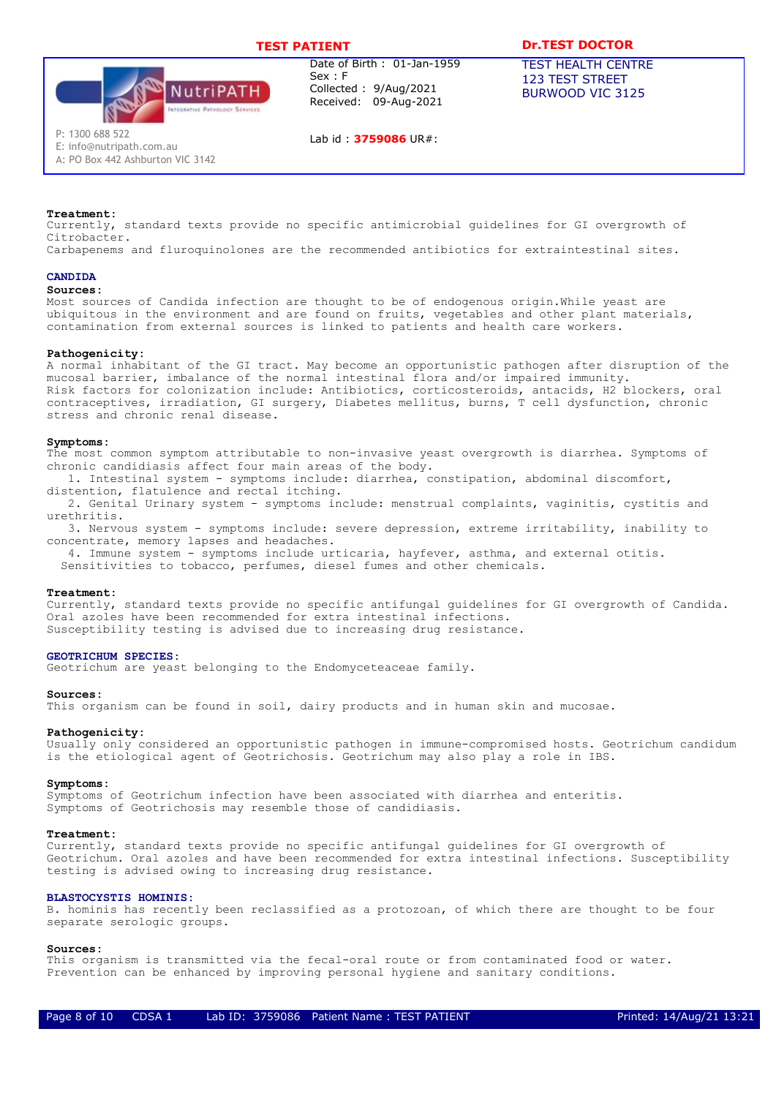

Lab id : 3759086 UR#:

# TEST PATIENT **DR.TEST DOCTOR**

TEST HEALTH CENTRE 123 TEST STREET BURWOOD VIC 3125

Treatment:

E: info@nutripath.com.au A: PO Box 442 Ashburton VIC 3142

Currently, standard texts provide no specific antimicrobial guidelines for GI overgrowth of Citrobacter.

Carbapenems and fluroquinolones are the recommended antibiotics for extraintestinal sites.

### CANDIDA

#### Sources:

Most sources of Candida infection are thought to be of endogenous origin.While yeast are ubiquitous in the environment and are found on fruits, vegetables and other plant materials, contamination from external sources is linked to patients and health care workers.

#### Pathogenicity:

A normal inhabitant of the GI tract. May become an opportunistic pathogen after disruption of the mucosal barrier, imbalance of the normal intestinal flora and/or impaired immunity. Risk factors for colonization include: Antibiotics, corticosteroids, antacids, H2 blockers, oral contraceptives, irradiation, GI surgery, Diabetes mellitus, burns, T cell dysfunction, chronic stress and chronic renal disease.

#### Symptoms:

The most common symptom attributable to non-invasive yeast overgrowth is diarrhea. Symptoms of chronic candidiasis affect four main areas of the body.

1. Intestinal system - symptoms include: diarrhea, constipation, abdominal discomfort, distention, flatulence and rectal itching.

2. Genital Urinary system - symptoms include: menstrual complaints, vaginitis, cystitis and urethritis.

3. Nervous system - symptoms include: severe depression, extreme irritability, inability to concentrate, memory lapses and headaches.

4. Immune system - symptoms include urticaria, hayfever, asthma, and external otitis.

Sensitivities to tobacco, perfumes, diesel fumes and other chemicals.

#### Treatment:

Currently, standard texts provide no specific antifungal guidelines for GI overgrowth of Candida. Oral azoles have been recommended for extra intestinal infections. Susceptibility testing is advised due to increasing drug resistance.

### GEOTRICHUM SPECIES:

Geotrichum are yeast belonging to the Endomyceteaceae family.

#### Sources:

This organism can be found in soil, dairy products and in human skin and mucosae.

#### Pathogenicity:

Usually only considered an opportunistic pathogen in immune-compromised hosts. Geotrichum candidum is the etiological agent of Geotrichosis. Geotrichum may also play a role in IBS.

#### Symptoms:

Symptoms of Geotrichum infection have been associated with diarrhea and enteritis. Symptoms of Geotrichosis may resemble those of candidiasis.

#### Treatment:

Currently, standard texts provide no specific antifungal guidelines for GI overgrowth of Geotrichum. Oral azoles and have been recommended for extra intestinal infections. Susceptibility testing is advised owing to increasing drug resistance.

#### BLASTOCYSTIS HOMINIS:

B. hominis has recently been reclassified as a protozoan, of which there are thought to be four separate serologic groups.

#### Sources:

This organism is transmitted via the fecal-oral route or from contaminated food or water. Prevention can be enhanced by improving personal hygiene and sanitary conditions.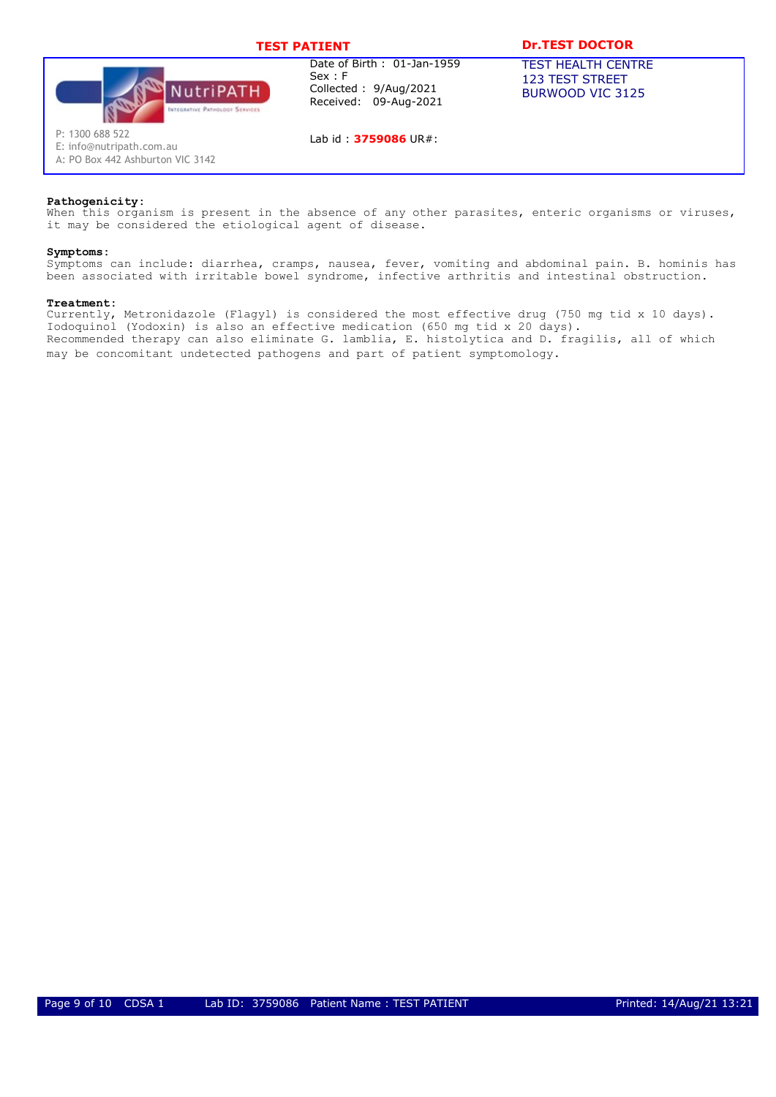

Lab id: 3759086 UR#:

# TEST PATIENT **DR.TEST DOCTOR**

TEST HEALTH CENTRE 123 TEST STREET BURWOOD VIC 3125

A: PO Box 442 Ashburton VIC 3142

E: info@nutripath.com.au

### Pathogenicity:

When this organism is present in the absence of any other parasites, enteric organisms or viruses, it may be considered the etiological agent of disease.

#### Symptoms:

Symptoms can include: diarrhea, cramps, nausea, fever, vomiting and abdominal pain. B. hominis has been associated with irritable bowel syndrome, infective arthritis and intestinal obstruction.

### Treatment:

Currently, Metronidazole (Flagyl) is considered the most effective drug (750 mg tid x 10 days). Iodoquinol (Yodoxin) is also an effective medication (650 mg tid x 20 days). Recommended therapy can also eliminate G. lamblia, E. histolytica and D. fragilis, all of which may be concomitant undetected pathogens and part of patient symptomology.